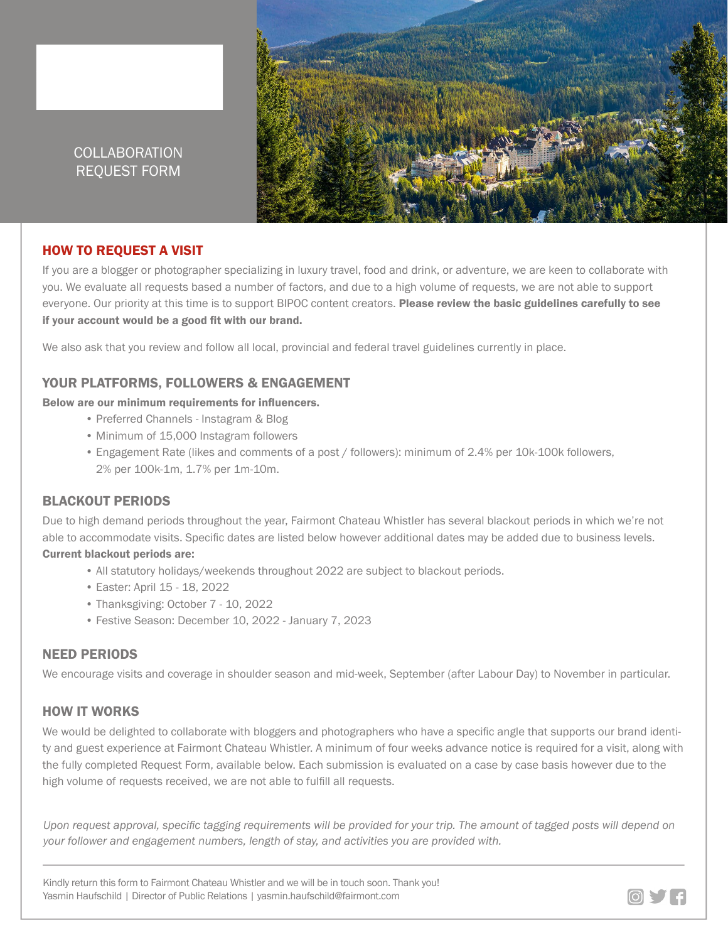

# COLLABORATION REQUEST FORM

## HOW TO REQUEST A VISIT

If you are a blogger or photographer specializing in luxury travel, food and drink, or adventure, we are keen to collaborate with you. We evaluate all requests based a number of factors, and due to a high volume of requests, we are not able to support everyone. Our priority at this time is to support BIPOC content creators. Please review the basic guidelines carefully to see if your account would be a good fit with our brand.

We also ask that you review and follow all local, provincial and federal travel guidelines currently in place.

#### YOUR PLATFORMS, FOLLOWERS & ENGAGEMENT

#### Below are our minimum requirements for influencers.

- Preferred Channels Instagram & Blog
- Minimum of 15,000 Instagram followers
- Engagement Rate (likes and comments of a post / followers): minimum of 2.4% per 10k-100k followers, 2% per 100k-1m, 1.7% per 1m-10m.

#### BLACKOUT PERIODS

Due to high demand periods throughout the year, Fairmont Chateau Whistler has several blackout periods in which we're not able to accommodate visits. Specific dates are listed below however additional dates may be added due to business levels. Current blackout periods are:

- All statutory holidays/weekends throughout 2022 are subject to blackout periods.
- Easter: April 15 18, 2022
- Thanksgiving: October 7 10, 2022
- Festive Season: December 10, 2022 January 7, 2023

#### NEED PERIODS

We encourage visits and coverage in shoulder season and mid-week, September (after Labour Day) to November in particular.

## HOW IT WORKS

We would be delighted to collaborate with bloggers and photographers who have a specific angle that supports our brand identity and guest experience at Fairmont Chateau Whistler. A minimum of four weeks advance notice is required for a visit, along with the fully completed Request Form, available below. Each submission is evaluated on a case by case basis however due to the high volume of requests received, we are not able to fulfill all requests.

*Upon request approval, specific tagging requirements will be provided for your trip. The amount of tagged posts will depend on your follower and engagement numbers, length of stay, and activities you are provided with.*

Kindly return this form to Fairmont Chateau Whistler and we will be in touch soon. Thank you! Yasmin Haufschild | Director of Public Relations | yasmin.haufschild@fairmont.com